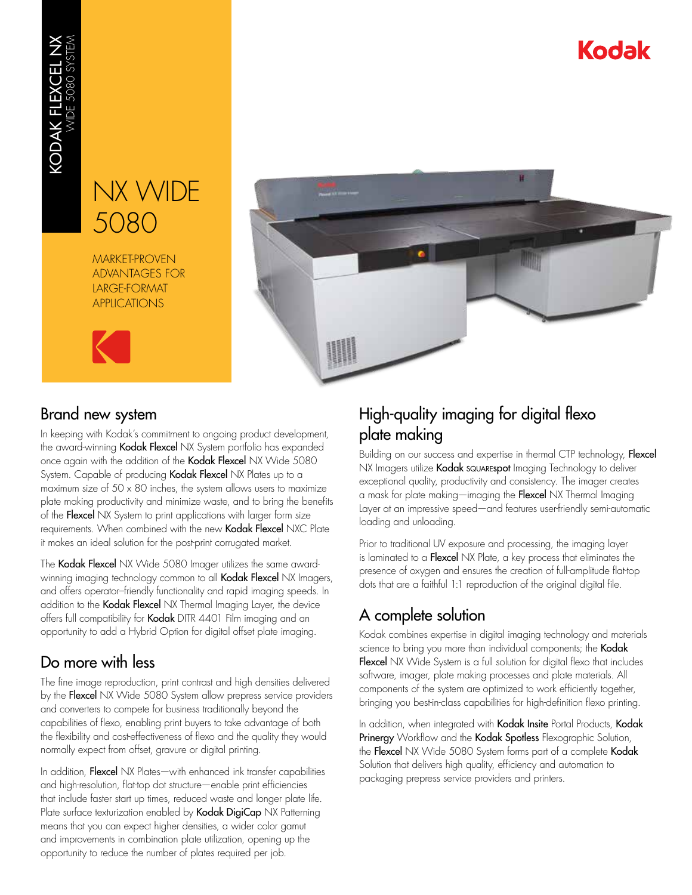# Kodak

# NX WIDE 5080

MARKET-PROVEN ADVANTAGES FOR LARGE-FORMAT APPLICATIONS





## Brand new system

In keeping with Kodak's commitment to ongoing product development, the award-winning Kodak Flexcel NX System portfolio has expanded once again with the addition of the Kodak Flexcel NX Wide 5080 System. Capable of producing Kodak Flexcel NX Plates up to a maximum size of  $50 \times 80$  inches, the system allows users to maximize plate making productivity and minimize waste, and to bring the benefits of the Flexcel NX System to print applications with larger form size requirements. When combined with the new Kodak Flexcel NXC Plate it makes an ideal solution for the post-print corrugated market.

The Kodak Flexcel NX Wide 5080 Imager utilizes the same awardwinning imaging technology common to all Kodak Flexcel NX Imagers, and offers operator–friendly functionality and rapid imaging speeds. In addition to the Kodak Flexcel NX Thermal Imaging Layer, the device offers full compatibility for Kodak DITR 4401 Film imaging and an opportunity to add a Hybrid Option for digital offset plate imaging.

## Do more with less

The fine image reproduction, print contrast and high densities delivered by the Flexcel NX Wide 5080 System allow prepress service providers and converters to compete for business traditionally beyond the capabilities of flexo, enabling print buyers to take advantage of both the flexibility and cost-effectiveness of flexo and the quality they would normally expect from offset, gravure or digital printing.

In addition, Flexcel NX Plates—with enhanced ink transfer capabilities and high-resolution, flat-top dot structure—enable print efficiencies that include faster start up times, reduced waste and longer plate life. Plate surface texturization enabled by Kodak DigiCap NX Patterning means that you can expect higher densities, a wider color gamut and improvements in combination plate utilization, opening up the opportunity to reduce the number of plates required per job.

## High-quality imaging for digital flexo plate making

Building on our success and expertise in thermal CTP technology, Flexcel NX Imagers utilize Kodak squarespot Imaging Technology to deliver exceptional quality, productivity and consistency. The imager creates a mask for plate making—imaging the Flexcel NX Thermal Imaging Layer at an impressive speed—and features user-friendly semi-automatic loading and unloading.

Prior to traditional UV exposure and processing, the imaging layer is laminated to a Flexcel NX Plate, a key process that eliminates the presence of oxygen and ensures the creation of full-amplitude flat-top dots that are a faithful 1:1 reproduction of the original digital file.

## A complete solution

Kodak combines expertise in digital imaging technology and materials science to bring you more than individual components; the Kodak Flexcel NX Wide System is a full solution for digital flexo that includes software, imager, plate making processes and plate materials. All components of the system are optimized to work efficiently together, bringing you best-in-class capabilities for high-definition flexo printing.

In addition, when integrated with Kodak Insite Portal Products, Kodak Prinergy Workflow and the Kodak Spotless Flexographic Solution, the Flexcel NX Wide 5080 System forms part of a complete Kodak Solution that delivers high quality, efficiency and automation to packaging prepress service providers and printers.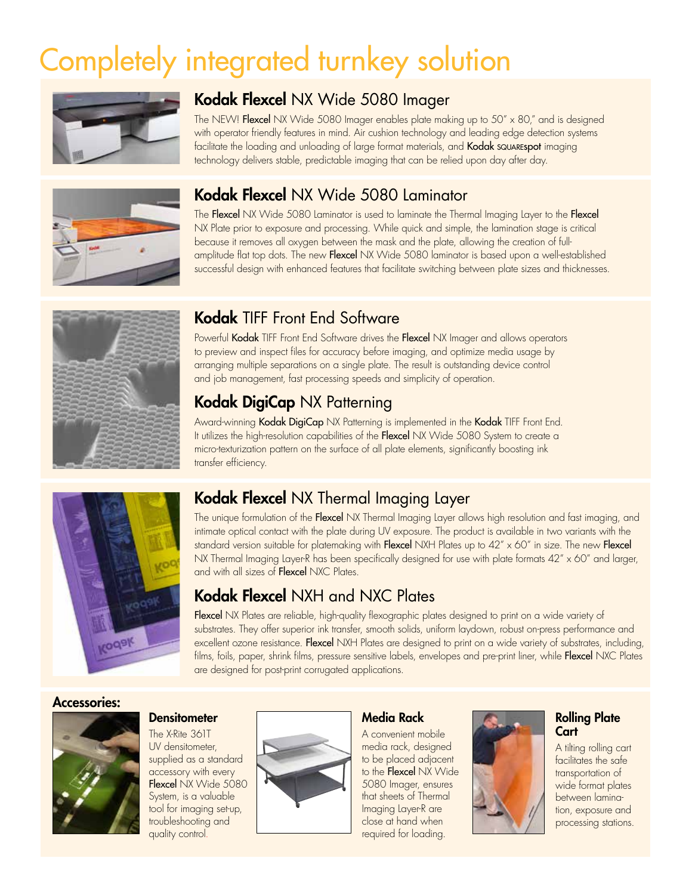# Completely integrated turnkey solution



## Kodak Flexcel NX Wide 5080 Imager

The NEW! Flexcel NX Wide 5080 Imager enables plate making up to 50" x 80," and is designed with operator friendly features in mind. Air cushion technology and leading edge detection systems facilitate the loading and unloading of large format materials, and **Kodak squarespot** imaging technology delivers stable, predictable imaging that can be relied upon day after day.



## Kodak Flexcel NX Wide 5080 Laminator

The Flexcel NX Wide 5080 Laminator is used to laminate the Thermal Imaging Layer to the Flexcel NX Plate prior to exposure and processing. While quick and simple, the lamination stage is critical because it removes all oxygen between the mask and the plate, allowing the creation of fullamplitude flat top dots. The new Flexcel NX Wide 5080 laminator is based upon a well-established successful design with enhanced features that facilitate switching between plate sizes and thicknesses.



## Kodak TIFF Front End Software

Powerful Kodak TIFF Front End Software drives the Flexcel NX Imager and allows operators to preview and inspect files for accuracy before imaging, and optimize media usage by arranging multiple separations on a single plate. The result is outstanding device control and job management, fast processing speeds and simplicity of operation.

## Kodak DigiCap NX Patterning

Award-winning Kodak DigiCap NX Patterning is implemented in the Kodak TIFF Front End. It utilizes the high-resolution capabilities of the Flexcel NX Wide 5080 System to create a micro-texturization pattern on the surface of all plate elements, significantly boosting ink transfer efficiency.



## Kodak Flexcel NX Thermal Imaging Layer

The unique formulation of the Flexcel NX Thermal Imaging Layer allows high resolution and fast imaging, and intimate optical contact with the plate during UV exposure. The product is available in two variants with the standard version suitable for platemaking with Flexcel NXH Plates up to  $42'' \times 60''$  in size. The new Flexcel NX Thermal Imaging Layer-R has been specifically designed for use with plate formats 42" x 60" and larger, and with all sizes of Flexcel NXC Plates.

## Kodak Flexcel NXH and NXC Plates

Flexcel NX Plates are reliable, high-quality flexographic plates designed to print on a wide variety of substrates. They offer superior ink transfer, smooth solids, uniform laydown, robust on-press performance and excellent ozone resistance. Flexcel NXH Plates are designed to print on a wide variety of substrates, including, films, foils, paper, shrink films, pressure sensitive labels, envelopes and pre-print liner, while Flexcel NXC Plates are designed for post-print corrugated applications.

#### Accessories:



#### **Densitometer**

The X-Rite 361T UV densitometer, supplied as a standard accessory with every Flexcel NX Wide 5080 System, is a valuable tool for imaging set-up, troubleshooting and quality control.



#### Media Rack

A convenient mobile media rack, designed to be placed adjacent to the Flexcel NX Wide 5080 Imager, ensures that sheets of Thermal Imaging Layer-R are close at hand when required for loading.



#### Rolling Plate **Cart**

A tilting rolling cart facilitates the safe transportation of wide format plates between lamination, exposure and processing stations.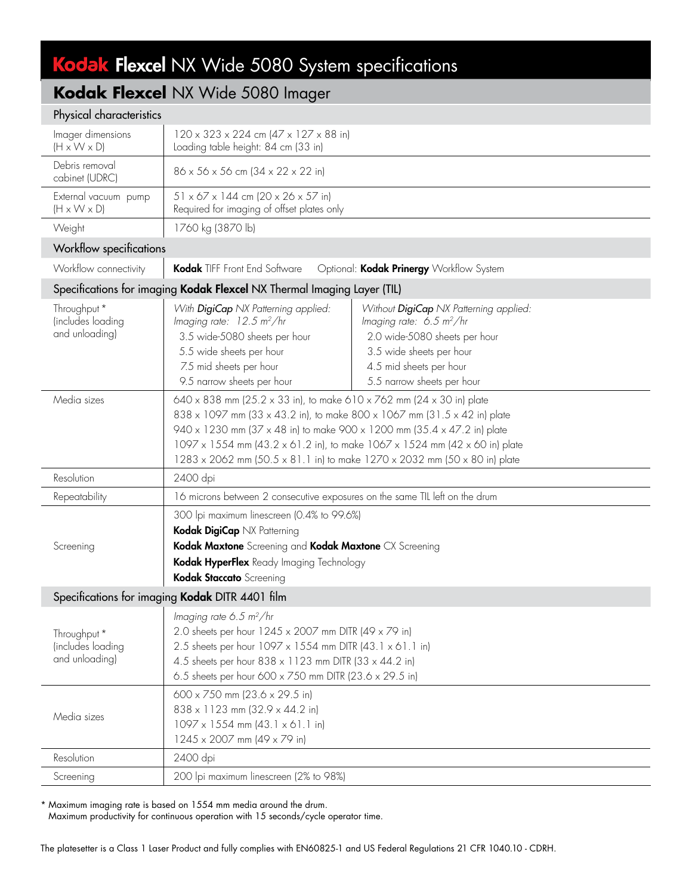# Kodak Flexcel NX Wide 5080 System specifications

## **Kodak Flexcel** NX Wide 5080 Imager

#### Physical characteristics

| Imager dimensions<br>$(H \times W \times D)$                            | $120 \times 323 \times 224$ cm $(47 \times 127 \times 88$ in)<br>Loading table height: 84 cm (33 in)                                                                                                                                                                                                                                                                                   |                                                                                                                                                                                                           |  |  |
|-------------------------------------------------------------------------|----------------------------------------------------------------------------------------------------------------------------------------------------------------------------------------------------------------------------------------------------------------------------------------------------------------------------------------------------------------------------------------|-----------------------------------------------------------------------------------------------------------------------------------------------------------------------------------------------------------|--|--|
| Debris removal<br>cabinet (UDRC)                                        | $86 \times 56 \times 56$ cm $(34 \times 22 \times 22)$ in)                                                                                                                                                                                                                                                                                                                             |                                                                                                                                                                                                           |  |  |
| External vacuum pump<br>$(H \times W \times D)$                         | $51 \times 67 \times 144$ cm (20 x 26 x 57 in)<br>Required for imaging of offset plates only                                                                                                                                                                                                                                                                                           |                                                                                                                                                                                                           |  |  |
| Weight                                                                  | 1760 kg (3870 lb)                                                                                                                                                                                                                                                                                                                                                                      |                                                                                                                                                                                                           |  |  |
| Workflow specifications                                                 |                                                                                                                                                                                                                                                                                                                                                                                        |                                                                                                                                                                                                           |  |  |
| Workflow connectivity                                                   | Kodak TIFF Front End Software<br>Optional: Kodak Prinergy Workflow System                                                                                                                                                                                                                                                                                                              |                                                                                                                                                                                                           |  |  |
| Specifications for imaging Kodak Flexcel NX Thermal Imaging Layer (TIL) |                                                                                                                                                                                                                                                                                                                                                                                        |                                                                                                                                                                                                           |  |  |
| Throughput *<br>(includes loading<br>and unloading)                     | With DigiCap NX Patterning applied:<br>Imaging rate: $12.5 \text{ m}^2/\text{hr}$<br>3.5 wide-5080 sheets per hour<br>5.5 wide sheets per hour<br>7.5 mid sheets per hour<br>9.5 narrow sheets per hour                                                                                                                                                                                | Without DigiCap NX Patterning applied:<br>Imaging rate: $6.5 \text{ m}^2/\text{hr}$<br>2.0 wide-5080 sheets per hour<br>3.5 wide sheets per hour<br>4.5 mid sheets per hour<br>5.5 narrow sheets per hour |  |  |
| Media sizes                                                             | 640 x 838 mm (25.2 x 33 in), to make 610 x 762 mm (24 x 30 in) plate<br>838 x 1097 mm (33 x 43.2 in), to make 800 x 1067 mm (31.5 x 42 in) plate<br>940 x 1230 mm (37 x 48 in) to make 900 x 1200 mm (35.4 x 47.2 in) plate<br>1097 x 1554 mm (43.2 x 61.2 in), to make 1067 x 1524 mm (42 x 60 in) plate<br>1283 x 2062 mm (50.5 x 81.1 in) to make 1270 x 2032 mm (50 x 80 in) plate |                                                                                                                                                                                                           |  |  |
| Resolution                                                              | 2400 dpi                                                                                                                                                                                                                                                                                                                                                                               |                                                                                                                                                                                                           |  |  |
| Repeatability                                                           | 16 microns between 2 consecutive exposures on the same TIL left on the drum                                                                                                                                                                                                                                                                                                            |                                                                                                                                                                                                           |  |  |
| Screening                                                               | 300 lpi maximum linescreen (0.4% to 99.6%)<br>Kodak DigiCap NX Patterning<br>Kodak Maxtone Screening and Kodak Maxtone CX Screening<br>Kodak HyperFlex Ready Imaging Technology<br>Kodak Staccato Screening                                                                                                                                                                            |                                                                                                                                                                                                           |  |  |
| Specifications for imaging Kodak DITR 4401 film                         |                                                                                                                                                                                                                                                                                                                                                                                        |                                                                                                                                                                                                           |  |  |
| Throughput *<br>(includes loading<br>and unloading)                     | Imaging rate 6.5 m <sup>2</sup> /hr<br>2.0 sheets per hour 1245 x 2007 mm DITR (49 x 79 in)<br>2.5 sheets per hour 1097 x 1554 mm DITR (43.1 x 61.1 in)<br>4.5 sheets per hour 838 x 1123 mm DITR (33 x 44.2 in)<br>6.5 sheets per hour 600 x 750 mm DITR (23.6 x 29.5 in)                                                                                                             |                                                                                                                                                                                                           |  |  |
| Media sizes                                                             | $600 \times 750$ mm (23.6 $\times$ 29.5 in)<br>838 x 1123 mm (32.9 x 44.2 in)<br>$1097 \times 1554$ mm $(43.1 \times 61.1$ in)<br>1245 x 2007 mm (49 x 79 in)                                                                                                                                                                                                                          |                                                                                                                                                                                                           |  |  |
| Resolution                                                              | 2400 dpi                                                                                                                                                                                                                                                                                                                                                                               |                                                                                                                                                                                                           |  |  |
| Screening                                                               | 200 lpi maximum linescreen (2% to 98%)                                                                                                                                                                                                                                                                                                                                                 |                                                                                                                                                                                                           |  |  |

\* Maximum imaging rate is based on 1554 mm media around the drum.

Maximum productivity for continuous operation with 15 seconds/cycle operator time.

The platesetter is a Class 1 Laser Product and fully complies with EN60825-1 and US Federal Regulations 21 CFR 1040.10 - CDRH.